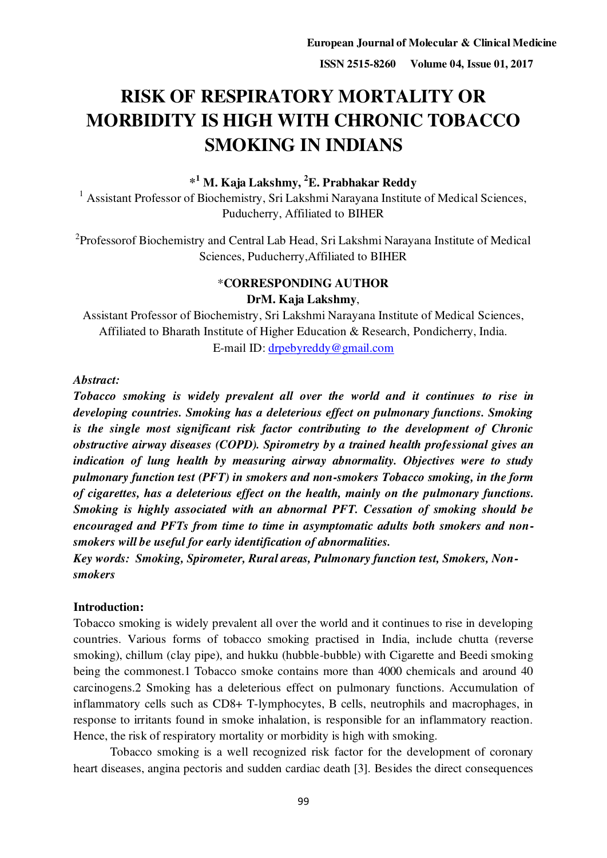**ISSN 2515-8260 Volume 04, Issue 01, 2017**

# **RISK OF RESPIRATORY MORTALITY OR MORBIDITY IS HIGH WITH CHRONIC TOBACCO SMOKING IN INDIANS**

**\* 1 M. Kaja Lakshmy, <sup>2</sup>E. Prabhakar Reddy** 

<sup>1</sup> Assistant Professor of Biochemistry, Sri Lakshmi Narayana Institute of Medical Sciences, Puducherry, Affiliated to BIHER

<sup>2</sup>Professorof Biochemistry and Central Lab Head, Sri Lakshmi Narayana Institute of Medical Sciences, Puducherry,Affiliated to BIHER

## \***CORRESPONDING AUTHOR DrM. Kaja Lakshmy**,

Assistant Professor of Biochemistry, Sri Lakshmi Narayana Institute of Medical Sciences, Affiliated to Bharath Institute of Higher Education & Research, Pondicherry, India. E-mail ID: [drpebyreddy@gmail.com](mailto:drpebyreddy@gmail.com)

# *Abstract:*

*Tobacco smoking is widely prevalent all over the world and it continues to rise in developing countries. Smoking has a deleterious effect on pulmonary functions. Smoking is the single most significant risk factor contributing to the development of Chronic obstructive airway diseases (COPD). Spirometry by a trained health professional gives an indication of lung health by measuring airway abnormality. Objectives were to study pulmonary function test (PFT) in smokers and non-smokers Tobacco smoking, in the form of cigarettes, has a deleterious effect on the health, mainly on the pulmonary functions. Smoking is highly associated with an abnormal PFT. Cessation of smoking should be encouraged and PFTs from time to time in asymptomatic adults both smokers and nonsmokers will be useful for early identification of abnormalities.* 

*Key words: Smoking, Spirometer, Rural areas, Pulmonary function test, Smokers, Nonsmokers* 

# **Introduction:**

Tobacco smoking is widely prevalent all over the world and it continues to rise in developing countries. Various forms of tobacco smoking practised in India, include chutta (reverse smoking), chillum (clay pipe), and hukku (hubble-bubble) with Cigarette and Beedi smoking being the commonest.1 Tobacco smoke contains more than 4000 chemicals and around 40 carcinogens.2 Smoking has a deleterious effect on pulmonary functions. Accumulation of inflammatory cells such as CD8+ T-lymphocytes, B cells, neutrophils and macrophages, in response to irritants found in smoke inhalation, is responsible for an inflammatory reaction. Hence, the risk of respiratory mortality or morbidity is high with smoking.

 Tobacco smoking is a well recognized risk factor for the development of coronary heart diseases, angina pectoris and sudden cardiac death [3]. Besides the direct consequences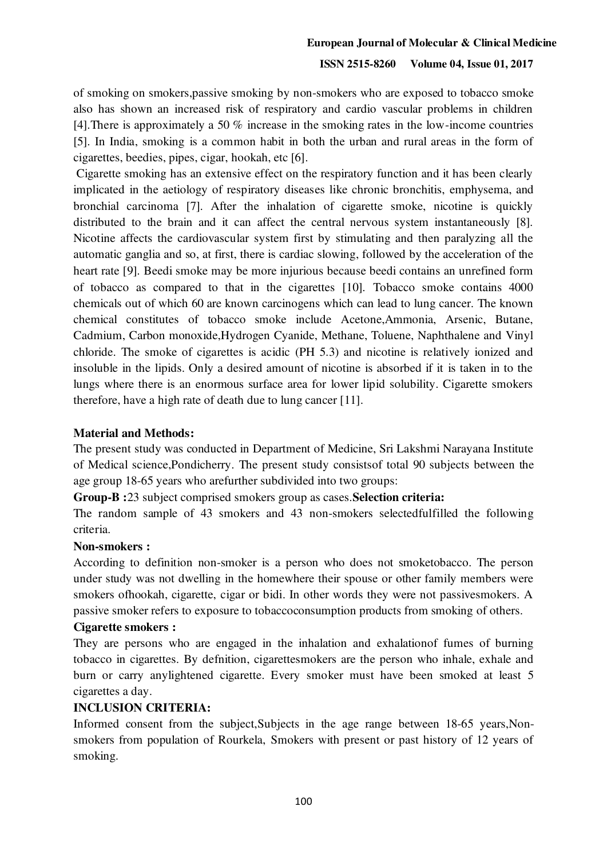#### **ISSN 2515-8260 Volume 04, Issue 01, 2017**

of smoking on smokers,passive smoking by non-smokers who are exposed to tobacco smoke also has shown an increased risk of respiratory and cardio vascular problems in children [4].There is approximately a 50 % increase in the smoking rates in the low-income countries [5]. In India, smoking is a common habit in both the urban and rural areas in the form of cigarettes, beedies, pipes, cigar, hookah, etc [6].

 Cigarette smoking has an extensive effect on the respiratory function and it has been clearly implicated in the aetiology of respiratory diseases like chronic bronchitis, emphysema, and bronchial carcinoma [7]. After the inhalation of cigarette smoke, nicotine is quickly distributed to the brain and it can affect the central nervous system instantaneously [8]. Nicotine affects the cardiovascular system first by stimulating and then paralyzing all the automatic ganglia and so, at first, there is cardiac slowing, followed by the acceleration of the heart rate [9]. Beedi smoke may be more injurious because beedi contains an unrefined form of tobacco as compared to that in the cigarettes [10]. Tobacco smoke contains 4000 chemicals out of which 60 are known carcinogens which can lead to lung cancer. The known chemical constitutes of tobacco smoke include Acetone,Ammonia, Arsenic, Butane, Cadmium, Carbon monoxide,Hydrogen Cyanide, Methane, Toluene, Naphthalene and Vinyl chloride. The smoke of cigarettes is acidic (PH 5.3) and nicotine is relatively ionized and insoluble in the lipids. Only a desired amount of nicotine is absorbed if it is taken in to the lungs where there is an enormous surface area for lower lipid solubility. Cigarette smokers therefore, have a high rate of death due to lung cancer [11].

## **Material and Methods:**

The present study was conducted in Department of Medicine, Sri Lakshmi Narayana Institute of Medical science,Pondicherry. The present study consistsof total 90 subjects between the age group 18-65 years who arefurther subdivided into two groups:

## **Group-B :**23 subject comprised smokers group as cases.**Selection criteria:**

The random sample of 43 smokers and 43 non-smokers selectedfulfilled the following criteria.

## **Non-smokers :**

According to definition non-smoker is a person who does not smoketobacco. The person under study was not dwelling in the homewhere their spouse or other family members were smokers ofhookah, cigarette, cigar or bidi. In other words they were not passivesmokers. A passive smoker refers to exposure to tobaccoconsumption products from smoking of others.

## **Cigarette smokers :**

They are persons who are engaged in the inhalation and exhalationof fumes of burning tobacco in cigarettes. By defnition, cigarettesmokers are the person who inhale, exhale and burn or carry anylightened cigarette. Every smoker must have been smoked at least 5 cigarettes a day.

# **INCLUSION CRITERIA:**

Informed consent from the subject,Subjects in the age range between 18-65 years,Nonsmokers from population of Rourkela, Smokers with present or past history of 12 years of smoking.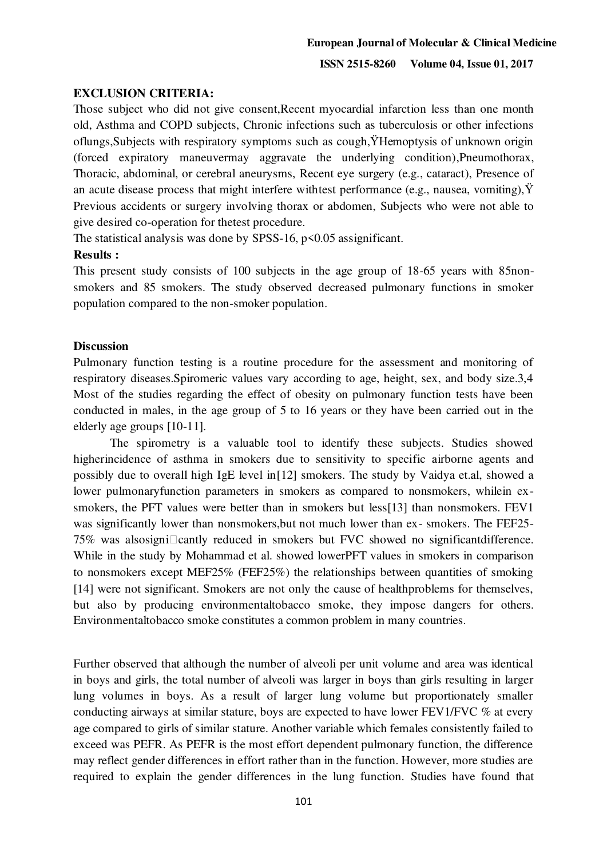**ISSN 2515-8260 Volume 04, Issue 01, 2017**

## **EXCLUSION CRITERIA:**

Those subject who did not give consent,Recent myocardial infarction less than one month old, Asthma and COPD subjects, Chronic infections such as tuberculosis or other infections oflungs,Subjects with respiratory symptoms such as cough,ŸHemoptysis of unknown origin (forced expiratory maneuvermay aggravate the underlying condition),Pneumothorax, Thoracic, abdominal, or cerebral aneurysms, Recent eye surgery (e.g., cataract), Presence of an acute disease process that might interfere with test performance (e.g., nausea, vomiting),  $\ddot{Y}$ Previous accidents or surgery involving thorax or abdomen, Subjects who were not able to give desired co-operation for thetest procedure.

The statistical analysis was done by SPSS-16, p<0.05 assignificant.

## **Results :**

This present study consists of 100 subjects in the age group of 18-65 years with 85nonsmokers and 85 smokers. The study observed decreased pulmonary functions in smoker population compared to the non-smoker population.

## **Discussion**

Pulmonary function testing is a routine procedure for the assessment and monitoring of respiratory diseases.Spiromeric values vary according to age, height, sex, and body size.3,4 Most of the studies regarding the effect of obesity on pulmonary function tests have been conducted in males, in the age group of 5 to 16 years or they have been carried out in the elderly age groups [10-11].

 The spirometry is a valuable tool to identify these subjects. Studies showed higherincidence of asthma in smokers due to sensitivity to specific airborne agents and possibly due to overall high IgE level in[12] smokers. The study by Vaidya et.al, showed a lower pulmonaryfunction parameters in smokers as compared to nonsmokers, whilein exsmokers, the PFT values were better than in smokers but less[13] than nonsmokers. FEV1 was significantly lower than nonsmokers,but not much lower than ex- smokers. The FEF25-  $75\%$  was alsosigni $\Box$ cantly reduced in smokers but FVC showed no significant difference. While in the study by Mohammad et al. showed lowerPFT values in smokers in comparison to nonsmokers except MEF25% (FEF25%) the relationships between quantities of smoking [14] were not significant. Smokers are not only the cause of healthproblems for themselves, but also by producing environmentaltobacco smoke, they impose dangers for others. Environmentaltobacco smoke constitutes a common problem in many countries.

Further observed that although the number of alveoli per unit volume and area was identical in boys and girls, the total number of alveoli was larger in boys than girls resulting in larger lung volumes in boys. As a result of larger lung volume but proportionately smaller conducting airways at similar stature, boys are expected to have lower FEV1/FVC % at every age compared to girls of similar stature. Another variable which females consistently failed to exceed was PEFR. As PEFR is the most effort dependent pulmonary function, the difference may reflect gender differences in effort rather than in the function. However, more studies are required to explain the gender differences in the lung function. Studies have found that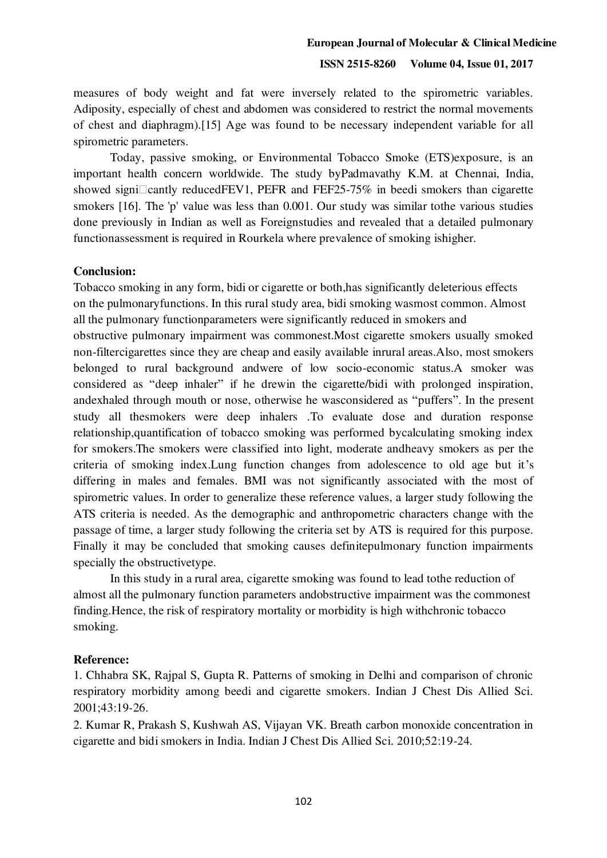#### **ISSN 2515-8260 Volume 04, Issue 01, 2017**

measures of body weight and fat were inversely related to the spirometric variables. Adiposity, especially of chest and abdomen was considered to restrict the normal movements of chest and diaphragm).[15] Age was found to be necessary independent variable for all spirometric parameters.

 Today, passive smoking, or Environmental Tobacco Smoke (ETS)exposure, is an important health concern worldwide. The study byPadmavathy K.M. at Chennai, India, showed signi $\Box$ cantly reducedFEV1, PEFR and FEF25-75% in beedi smokers than cigarette smokers [16]. The 'p' value was less than 0.001. Our study was similar tothe various studies done previously in Indian as well as Foreignstudies and revealed that a detailed pulmonary functionassessment is required in Rourkela where prevalence of smoking ishigher.

#### **Conclusion:**

Tobacco smoking in any form, bidi or cigarette or both,has significantly deleterious effects on the pulmonaryfunctions. In this rural study area, bidi smoking wasmost common. Almost all the pulmonary functionparameters were significantly reduced in smokers and obstructive pulmonary impairment was commonest.Most cigarette smokers usually smoked non-filtercigarettes since they are cheap and easily available inrural areas.Also, most smokers belonged to rural background andwere of low socio-economic status.A smoker was considered as "deep inhaler" if he drewin the cigarette/bidi with prolonged inspiration, andexhaled through mouth or nose, otherwise he wasconsidered as "puffers". In the present study all thesmokers were deep inhalers .To evaluate dose and duration response relationship,quantification of tobacco smoking was performed bycalculating smoking index for smokers.The smokers were classified into light, moderate andheavy smokers as per the criteria of smoking index.Lung function changes from adolescence to old age but it's differing in males and females. BMI was not significantly associated with the most of spirometric values. In order to generalize these reference values, a larger study following the ATS criteria is needed. As the demographic and anthropometric characters change with the passage of time, a larger study following the criteria set by ATS is required for this purpose. Finally it may be concluded that smoking causes definitepulmonary function impairments specially the obstructivetype.

 In this study in a rural area, cigarette smoking was found to lead tothe reduction of almost all the pulmonary function parameters andobstructive impairment was the commonest finding.Hence, the risk of respiratory mortality or morbidity is high withchronic tobacco smoking.

#### **Reference:**

1. Chhabra SK, Rajpal S, Gupta R. Patterns of smoking in Delhi and comparison of chronic respiratory morbidity among beedi and cigarette smokers. Indian J Chest Dis Allied Sci. 2001;43:19-26.

2. Kumar R, Prakash S, Kushwah AS, Vijayan VK. Breath carbon monoxide concentration in cigarette and bidi smokers in India. Indian J Chest Dis Allied Sci. 2010;52:19-24.